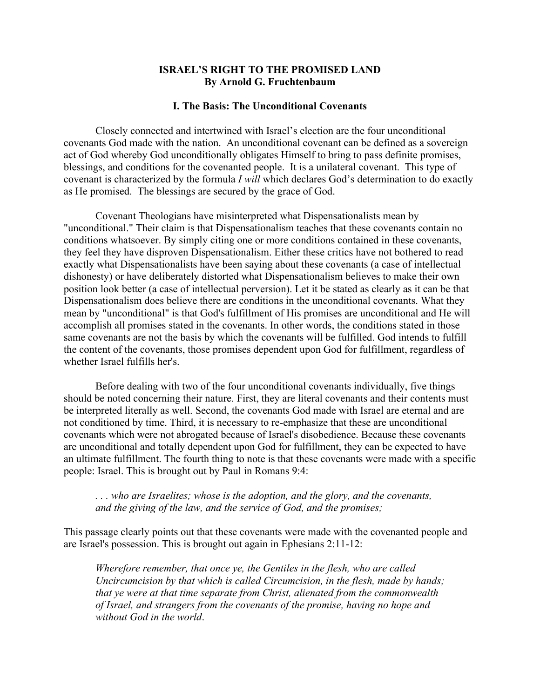# ISRAEL'S RIGHT TO THE PROMISED LAND By Arnold G. Fruchtenbaum

#### I. The Basis: The Unconditional Covenants

Closely connected and intertwined with Israel's election are the four unconditional covenants God made with the nation. An unconditional covenant can be defined as a sovereign act of God whereby God unconditionally obligates Himself to bring to pass definite promises, blessings, and conditions for the covenanted people. It is a unilateral covenant. This type of covenant is characterized by the formula *I will* which declares God's determination to do exactly as He promised. The blessings are secured by the grace of God.

Covenant Theologians have misinterpreted what Dispensationalists mean by "unconditional." Their claim is that Dispensationalism teaches that these covenants contain no conditions whatsoever. By simply citing one or more conditions contained in these covenants, they feel they have disproven Dispensationalism. Either these critics have not bothered to read exactly what Dispensationalists have been saying about these covenants (a case of intellectual dishonesty) or have deliberately distorted what Dispensationalism believes to make their own position look better (a case of intellectual perversion). Let it be stated as clearly as it can be that Dispensationalism does believe there are conditions in the unconditional covenants. What they mean by "unconditional" is that God's fulfillment of His promises are unconditional and He will accomplish all promises stated in the covenants. In other words, the conditions stated in those same covenants are not the basis by which the covenants will be fulfilled. God intends to fulfill the content of the covenants, those promises dependent upon God for fulfillment, regardless of whether Israel fulfills her's.

Before dealing with two of the four unconditional covenants individually, five things should be noted concerning their nature. First, they are literal covenants and their contents must be interpreted literally as well. Second, the covenants God made with Israel are eternal and are not conditioned by time. Third, it is necessary to re-emphasize that these are unconditional covenants which were not abrogated because of Israel's disobedience. Because these covenants are unconditional and totally dependent upon God for fulfillment, they can be expected to have an ultimate fulfillment. The fourth thing to note is that these covenants were made with a specific people: Israel. This is brought out by Paul in Romans 9:4:

# *. . . who are Israelites; whose is the adoption, and the glory, and the covenants, and the giving of the law, and the service of God, and the promises;*

This passage clearly points out that these covenants were made with the covenanted people and are Israel's possession. This is brought out again in Ephesians 2:11-12:

*Wherefore remember, that once ye, the Gentiles in the flesh, who are called Uncircumcision by that which is called Circumcision, in the flesh, made by hands; that ye were at that time separate from Christ, alienated from the commonwealth of Israel, and strangers from the covenants of the promise, having no hope and without God in the world*.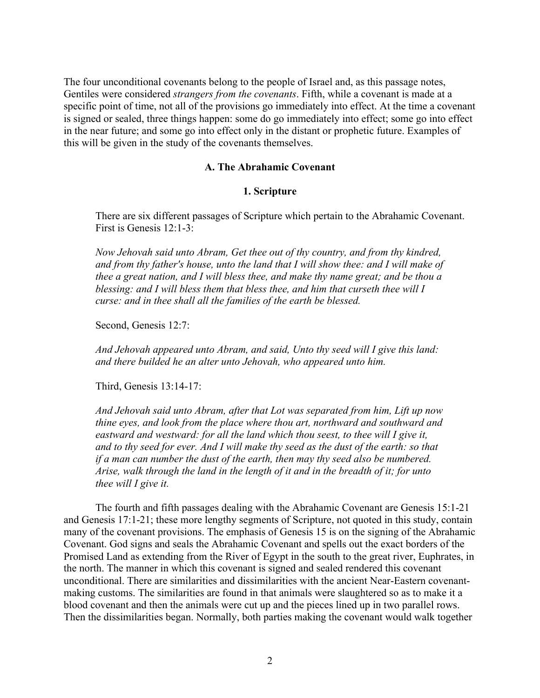The four unconditional covenants belong to the people of Israel and, as this passage notes, Gentiles were considered *strangers from the covenants*. Fifth, while a covenant is made at a specific point of time, not all of the provisions go immediately into effect. At the time a covenant is signed or sealed, three things happen: some do go immediately into effect; some go into effect in the near future; and some go into effect only in the distant or prophetic future. Examples of this will be given in the study of the covenants themselves.

# A. The Abrahamic Covenant

#### 1. Scripture

There are six different passages of Scripture which pertain to the Abrahamic Covenant. First is Genesis 12:1-3:

*Now Jehovah said unto Abram, Get thee out of thy country, and from thy kindred, and from thy father's house, unto the land that I will show thee: and I will make of thee a great nation, and I will bless thee, and make thy name great; and be thou a blessing: and I will bless them that bless thee, and him that curseth thee will I curse: and in thee shall all the families of the earth be blessed.*

Second, Genesis 12:7:

*And Jehovah appeared unto Abram, and said, Unto thy seed will I give this land: and there builded he an alter unto Jehovah, who appeared unto him.*

Third, Genesis 13:14-17:

*And Jehovah said unto Abram, after that Lot was separated from him, Lift up now thine eyes, and look from the place where thou art, northward and southward and eastward and westward: for all the land which thou seest, to thee will I give it, and to thy seed for ever. And I will make thy seed as the dust of the earth: so that if a man can number the dust of the earth, then may thy seed also be numbered. Arise, walk through the land in the length of it and in the breadth of it; for unto thee will I give it.*

The fourth and fifth passages dealing with the Abrahamic Covenant are Genesis 15:1-21 and Genesis 17:1-21; these more lengthy segments of Scripture, not quoted in this study, contain many of the covenant provisions. The emphasis of Genesis 15 is on the signing of the Abrahamic Covenant. God signs and seals the Abrahamic Covenant and spells out the exact borders of the Promised Land as extending from the River of Egypt in the south to the great river, Euphrates, in the north. The manner in which this covenant is signed and sealed rendered this covenant unconditional. There are similarities and dissimilarities with the ancient Near-Eastern covenantmaking customs. The similarities are found in that animals were slaughtered so as to make it a blood covenant and then the animals were cut up and the pieces lined up in two parallel rows. Then the dissimilarities began. Normally, both parties making the covenant would walk together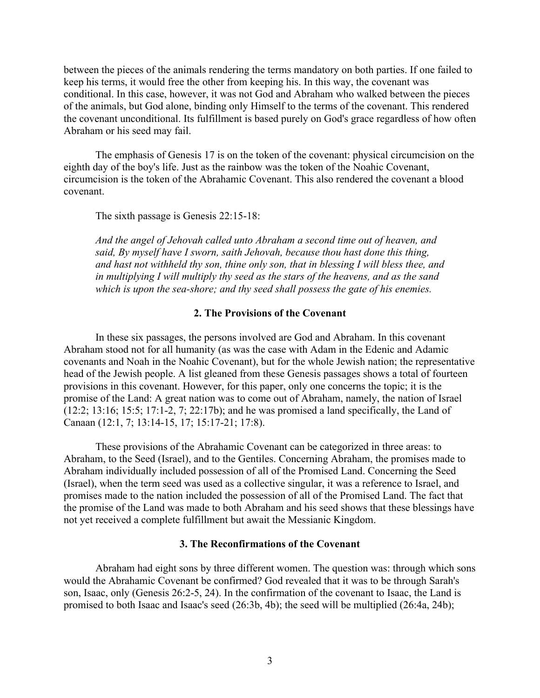between the pieces of the animals rendering the terms mandatory on both parties. If one failed to keep his terms, it would free the other from keeping his. In this way, the covenant was conditional. In this case, however, it was not God and Abraham who walked between the pieces of the animals, but God alone, binding only Himself to the terms of the covenant. This rendered the covenant unconditional. Its fulfillment is based purely on God's grace regardless of how often Abraham or his seed may fail.

The emphasis of Genesis 17 is on the token of the covenant: physical circumcision on the eighth day of the boy's life. Just as the rainbow was the token of the Noahic Covenant, circumcision is the token of the Abrahamic Covenant. This also rendered the covenant a blood covenant.

The sixth passage is Genesis 22:15-18:

*And the angel of Jehovah called unto Abraham a second time out of heaven, and said, By myself have I sworn, saith Jehovah, because thou hast done this thing, and hast not withheld thy son, thine only son, that in blessing I will bless thee, and in multiplying I will multiply thy seed as the stars of the heavens, and as the sand which is upon the sea-shore; and thy seed shall possess the gate of his enemies.*

### 2. The Provisions of the Covenant

In these six passages, the persons involved are God and Abraham. In this covenant Abraham stood not for all humanity (as was the case with Adam in the Edenic and Adamic covenants and Noah in the Noahic Covenant), but for the whole Jewish nation; the representative head of the Jewish people. A list gleaned from these Genesis passages shows a total of fourteen provisions in this covenant. However, for this paper, only one concerns the topic; it is the promise of the Land: A great nation was to come out of Abraham, namely, the nation of Israel (12:2; 13:16; 15:5; 17:1-2, 7; 22:17b); and he was promised a land specifically, the Land of Canaan (12:1, 7; 13:14-15, 17; 15:17-21; 17:8).

These provisions of the Abrahamic Covenant can be categorized in three areas: to Abraham, to the Seed (Israel), and to the Gentiles. Concerning Abraham, the promises made to Abraham individually included possession of all of the Promised Land. Concerning the Seed (Israel), when the term seed was used as a collective singular, it was a reference to Israel, and promises made to the nation included the possession of all of the Promised Land. The fact that the promise of the Land was made to both Abraham and his seed shows that these blessings have not yet received a complete fulfillment but await the Messianic Kingdom.

# 3. The Reconfirmations of the Covenant

Abraham had eight sons by three different women. The question was: through which sons would the Abrahamic Covenant be confirmed? God revealed that it was to be through Sarah's son, Isaac, only (Genesis 26:2-5, 24). In the confirmation of the covenant to Isaac, the Land is promised to both Isaac and Isaac's seed (26:3b, 4b); the seed will be multiplied (26:4a, 24b);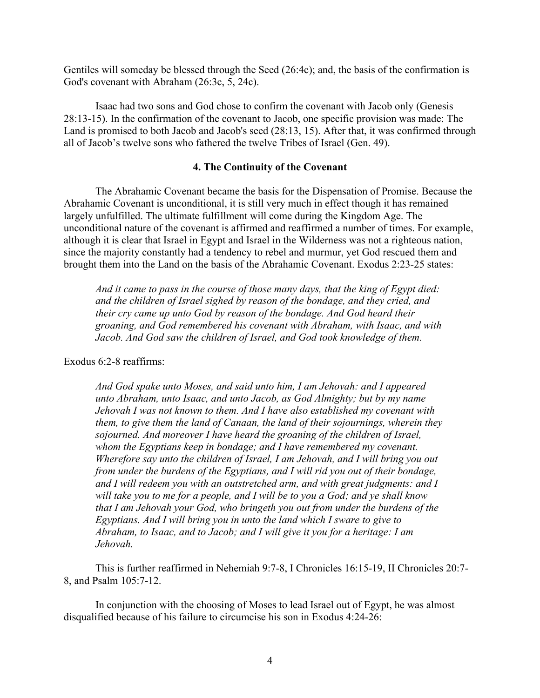Gentiles will someday be blessed through the Seed (26:4c); and, the basis of the confirmation is God's covenant with Abraham (26:3c, 5, 24c).

Isaac had two sons and God chose to confirm the covenant with Jacob only (Genesis 28:13-15). In the confirmation of the covenant to Jacob, one specific provision was made: The Land is promised to both Jacob and Jacob's seed (28:13, 15). After that, it was confirmed through all of Jacob's twelve sons who fathered the twelve Tribes of Israel (Gen. 49).

# 4. The Continuity of the Covenant

The Abrahamic Covenant became the basis for the Dispensation of Promise. Because the Abrahamic Covenant is unconditional, it is still very much in effect though it has remained largely unfulfilled. The ultimate fulfillment will come during the Kingdom Age. The unconditional nature of the covenant is affirmed and reaffirmed a number of times. For example, although it is clear that Israel in Egypt and Israel in the Wilderness was not a righteous nation, since the majority constantly had a tendency to rebel and murmur, yet God rescued them and brought them into the Land on the basis of the Abrahamic Covenant. Exodus 2:23-25 states:

*And it came to pass in the course of those many days, that the king of Egypt died: and the children of Israel sighed by reason of the bondage, and they cried, and their cry came up unto God by reason of the bondage. And God heard their groaning, and God remembered his covenant with Abraham, with Isaac, and with Jacob. And God saw the children of Israel, and God took knowledge of them.*

Exodus 6:2-8 reaffirms:

*And God spake unto Moses, and said unto him, I am Jehovah: and I appeared unto Abraham, unto Isaac, and unto Jacob, as God Almighty; but by my name Jehovah I was not known to them. And I have also established my covenant with them, to give them the land of Canaan, the land of their sojournings, wherein they sojourned. And moreover I have heard the groaning of the children of Israel, whom the Egyptians keep in bondage; and I have remembered my covenant. Wherefore say unto the children of Israel, I am Jehovah, and I will bring you out from under the burdens of the Egyptians, and I will rid you out of their bondage, and I will redeem you with an outstretched arm, and with great judgments: and I will take you to me for a people, and I will be to you a God; and ye shall know that I am Jehovah your God, who bringeth you out from under the burdens of the Egyptians. And I will bring you in unto the land which I sware to give to Abraham, to Isaac, and to Jacob; and I will give it you for a heritage: I am Jehovah.*

This is further reaffirmed in Nehemiah 9:7-8, I Chronicles 16:15-19, II Chronicles 20:7- 8, and Psalm 105:7-12.

In conjunction with the choosing of Moses to lead Israel out of Egypt, he was almost disqualified because of his failure to circumcise his son in Exodus 4:24-26: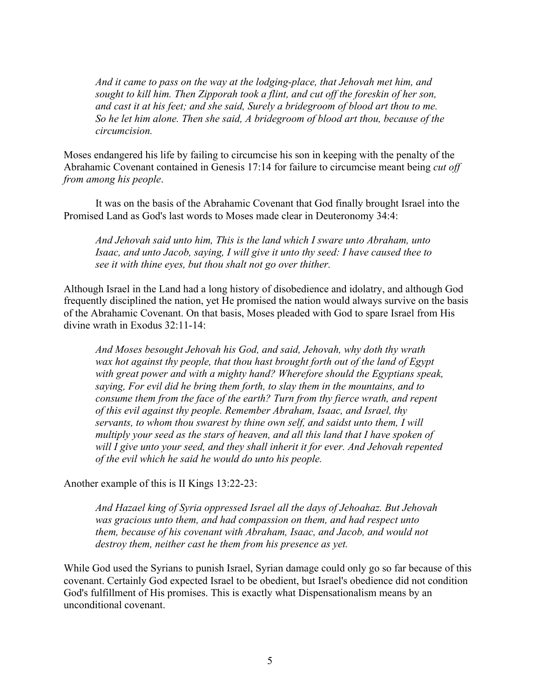*And it came to pass on the way at the lodging-place, that Jehovah met him, and sought to kill him. Then Zipporah took a flint, and cut off the foreskin of her son, and cast it at his feet; and she said, Surely a bridegroom of blood art thou to me. So he let him alone. Then she said, A bridegroom of blood art thou, because of the circumcision.*

Moses endangered his life by failing to circumcise his son in keeping with the penalty of the Abrahamic Covenant contained in Genesis 17:14 for failure to circumcise meant being *cut off from among his people*.

It was on the basis of the Abrahamic Covenant that God finally brought Israel into the Promised Land as God's last words to Moses made clear in Deuteronomy 34:4:

*And Jehovah said unto him, This is the land which I sware unto Abraham, unto Isaac, and unto Jacob, saying, I will give it unto thy seed: I have caused thee to see it with thine eyes, but thou shalt not go over thither.*

Although Israel in the Land had a long history of disobedience and idolatry, and although God frequently disciplined the nation, yet He promised the nation would always survive on the basis of the Abrahamic Covenant. On that basis, Moses pleaded with God to spare Israel from His divine wrath in Exodus 32:11-14:

*And Moses besought Jehovah his God, and said, Jehovah, why doth thy wrath wax hot against thy people, that thou hast brought forth out of the land of Egypt with great power and with a mighty hand? Wherefore should the Egyptians speak, saying, For evil did he bring them forth, to slay them in the mountains, and to consume them from the face of the earth? Turn from thy fierce wrath, and repent of this evil against thy people. Remember Abraham, Isaac, and Israel, thy servants, to whom thou swarest by thine own self, and saidst unto them, I will multiply your seed as the stars of heaven, and all this land that I have spoken of will I give unto your seed, and they shall inherit it for ever. And Jehovah repented of the evil which he said he would do unto his people.*

Another example of this is II Kings 13:22-23:

*And Hazael king of Syria oppressed Israel all the days of Jehoahaz. But Jehovah was gracious unto them, and had compassion on them, and had respect unto them, because of his covenant with Abraham, Isaac, and Jacob, and would not destroy them, neither cast he them from his presence as yet.*

While God used the Syrians to punish Israel, Syrian damage could only go so far because of this covenant. Certainly God expected Israel to be obedient, but Israel's obedience did not condition God's fulfillment of His promises. This is exactly what Dispensationalism means by an unconditional covenant.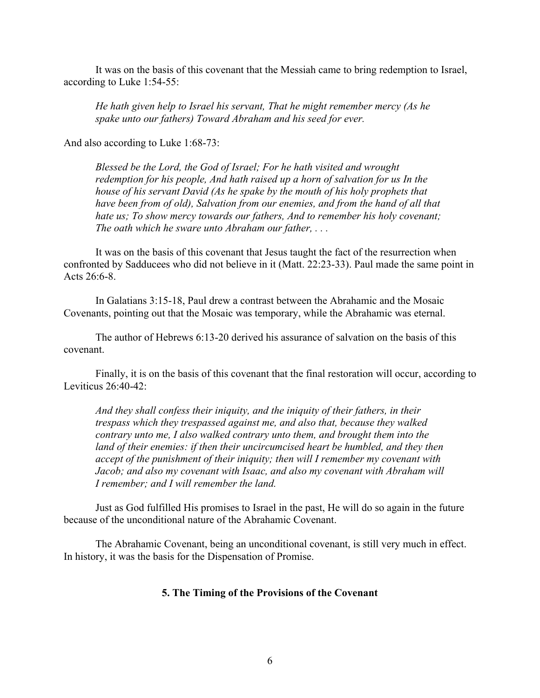It was on the basis of this covenant that the Messiah came to bring redemption to Israel, according to Luke 1:54-55:

*He hath given help to Israel his servant, That he might remember mercy (As he spake unto our fathers) Toward Abraham and his seed for ever.*

And also according to Luke 1:68-73:

*Blessed be the Lord, the God of Israel; For he hath visited and wrought redemption for his people, And hath raised up a horn of salvation for us In the house of his servant David (As he spake by the mouth of his holy prophets that have been from of old), Salvation from our enemies, and from the hand of all that hate us; To show mercy towards our fathers, And to remember his holy covenant; The oath which he sware unto Abraham our father, . . .*

It was on the basis of this covenant that Jesus taught the fact of the resurrection when confronted by Sadducees who did not believe in it (Matt. 22:23-33). Paul made the same point in Acts 26:6-8.

In Galatians 3:15-18, Paul drew a contrast between the Abrahamic and the Mosaic Covenants, pointing out that the Mosaic was temporary, while the Abrahamic was eternal.

The author of Hebrews 6:13-20 derived his assurance of salvation on the basis of this covenant.

Finally, it is on the basis of this covenant that the final restoration will occur, according to Leviticus 26:40-42:

*And they shall confess their iniquity, and the iniquity of their fathers, in their trespass which they trespassed against me, and also that, because they walked contrary unto me, I also walked contrary unto them, and brought them into the land of their enemies: if then their uncircumcised heart be humbled, and they then accept of the punishment of their iniquity; then will I remember my covenant with Jacob; and also my covenant with Isaac, and also my covenant with Abraham will I remember; and I will remember the land.*

Just as God fulfilled His promises to Israel in the past, He will do so again in the future because of the unconditional nature of the Abrahamic Covenant.

The Abrahamic Covenant, being an unconditional covenant, is still very much in effect. In history, it was the basis for the Dispensation of Promise.

### 5. The Timing of the Provisions of the Covenant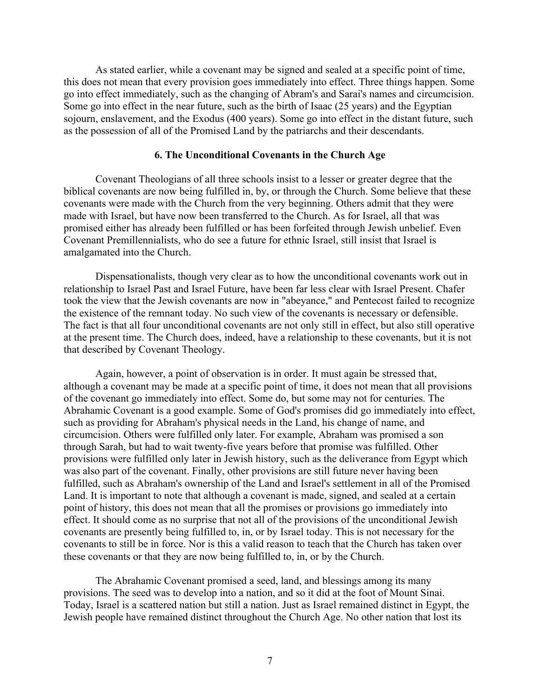As stated earlier, while a covenant may be signed and sealed at a specific point of time, this does not mean that every provision goes immediately into effect. Three things happen. Some go into effect immediately, such as the changing of Abram's and Sarai's names and circumcision. Some go into effect in the near future, such as the birth of Isaac (25 years) and the Egyptian sojourn, enslavement, and the Exodus (400 years). Some go into effect in the distant future, such as the possession of all of the Promised Land by the patriarchs and their descendants.

# 6. The Unconditional Covenants in the Church Age

Covenant Theologians of all three schools insist to a lesser or greater degree that the biblical covenants are now being fulfilled in, by, or through the Church. Some believe that these covenants were made with the Church from the very beginning. Others admit that they were made with Israel, but have now been transferred to the Church. As for Israel, all that was promised either has already been fulfilled or has been forfeited through Jewish unbelief. Even Covenant Premillennialists, who do see a future for ethnic Israel, still insist that Israel is amalgamated into the Church.

Dispensationalists, though very clear as to how the unconditional covenants work out in relationship to Israel Past and Israel Future, have been far less clear with Israel Present. Chafer took the view that the Jewish covenants are now in "abeyance," and Pentecost failed to recognize the existence of the remnant today. No such view of the covenants is necessary or defensible. The fact is that all four unconditional covenants are not only still in effect, but also still operative at the present time. The Church does, indeed, have a relationship to these covenants, but it is not that described by Covenant Theology.

Again, however, a point of observation is in order. It must again be stressed that, although a covenant may be made at a specific point of time, it does not mean that all provisions of the covenant go immediately into effect. Some do, but some may not for centuries. The Abrahamic Covenant is a good example. Some of God's promises did go immediately into effect, such as providing for Abraham's physical needs in the Land, his change of name, and circumcision. Others were fulfilled only later. For example, Abraham was promised a son through Sarah, but had to wait twenty-five years before that promise was fulfilled. Other provisions were fulfilled only later in Jewish history, such as the deliverance from Egypt which was also part of the covenant. Finally, other provisions are still future never having been fulfilled, such as Abraham's ownership of the Land and Israel's settlement in all of the Promised Land. It is important to note that although a covenant is made, signed, and sealed at a certain point of history, this does not mean that all the promises or provisions go immediately into effect. It should come as no surprise that not all of the provisions of the unconditional Jewish covenants are presently being fulfilled to, in, or by Israel today. This is not necessary for the covenants to still be in force. Nor is this a valid reason to teach that the Church has taken over these covenants or that they are now being fulfilled to, in, or by the Church.

The Abrahamic Covenant promised a seed, land, and blessings among its many provisions. The seed was to develop into a nation, and so it did at the foot of Mount Sinai. Today, Israel is a scattered nation but still a nation. Just as Israel remained distinct in Egypt, the Jewish people have remained distinct throughout the Church Age. No other nation that lost its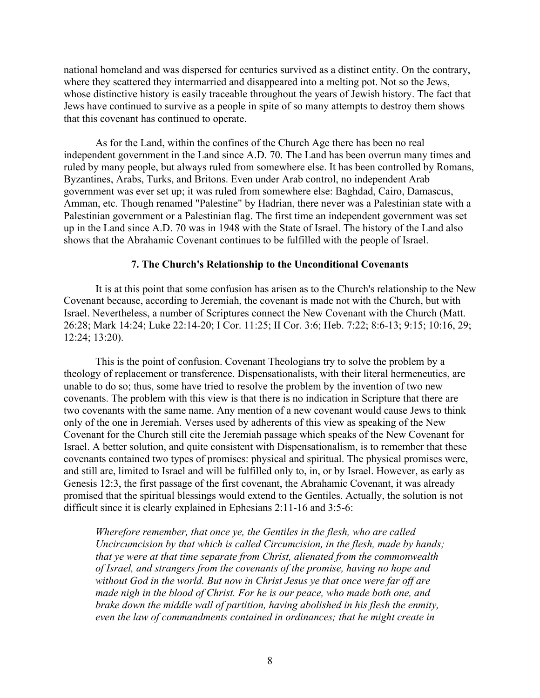national homeland and was dispersed for centuries survived as a distinct entity. On the contrary, where they scattered they intermarried and disappeared into a melting pot. Not so the Jews, whose distinctive history is easily traceable throughout the years of Jewish history. The fact that Jews have continued to survive as a people in spite of so many attempts to destroy them shows that this covenant has continued to operate.

As for the Land, within the confines of the Church Age there has been no real independent government in the Land since A.D. 70. The Land has been overrun many times and ruled by many people, but always ruled from somewhere else. It has been controlled by Romans, Byzantines, Arabs, Turks, and Britons. Even under Arab control, no independent Arab government was ever set up; it was ruled from somewhere else: Baghdad, Cairo, Damascus, Amman, etc. Though renamed "Palestine" by Hadrian, there never was a Palestinian state with a Palestinian government or a Palestinian flag. The first time an independent government was set up in the Land since A.D. 70 was in 1948 with the State of Israel. The history of the Land also shows that the Abrahamic Covenant continues to be fulfilled with the people of Israel.

### 7. The Church's Relationship to the Unconditional Covenants

It is at this point that some confusion has arisen as to the Church's relationship to the New Covenant because, according to Jeremiah, the covenant is made not with the Church, but with Israel. Nevertheless, a number of Scriptures connect the New Covenant with the Church (Matt. 26:28; Mark 14:24; Luke 22:14-20; I Cor. 11:25; II Cor. 3:6; Heb. 7:22; 8:6-13; 9:15; 10:16, 29; 12:24; 13:20).

This is the point of confusion. Covenant Theologians try to solve the problem by a theology of replacement or transference. Dispensationalists, with their literal hermeneutics, are unable to do so; thus, some have tried to resolve the problem by the invention of two new covenants. The problem with this view is that there is no indication in Scripture that there are two covenants with the same name. Any mention of a new covenant would cause Jews to think only of the one in Jeremiah. Verses used by adherents of this view as speaking of the New Covenant for the Church still cite the Jeremiah passage which speaks of the New Covenant for Israel. A better solution, and quite consistent with Dispensationalism, is to remember that these covenants contained two types of promises: physical and spiritual. The physical promises were, and still are, limited to Israel and will be fulfilled only to, in, or by Israel. However, as early as Genesis 12:3, the first passage of the first covenant, the Abrahamic Covenant, it was already promised that the spiritual blessings would extend to the Gentiles. Actually, the solution is not difficult since it is clearly explained in Ephesians 2:11-16 and 3:5-6:

*Wherefore remember, that once ye, the Gentiles in the flesh, who are called Uncircumcision by that which is called Circumcision, in the flesh, made by hands; that ye were at that time separate from Christ, alienated from the commonwealth of Israel, and strangers from the covenants of the promise, having no hope and without God in the world. But now in Christ Jesus ye that once were far off are made nigh in the blood of Christ. For he is our peace, who made both one, and brake down the middle wall of partition, having abolished in his flesh the enmity, even the law of commandments contained in ordinances; that he might create in*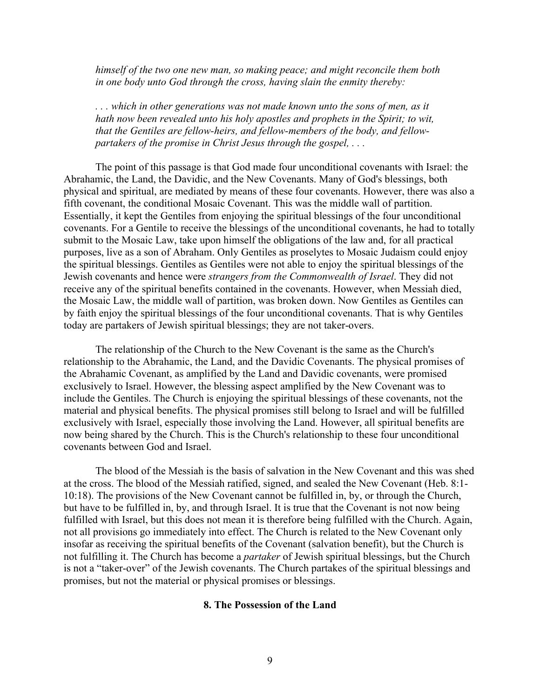*himself of the two one new man, so making peace; and might reconcile them both in one body unto God through the cross, having slain the enmity thereby:*

*. . . which in other generations was not made known unto the sons of men, as it hath now been revealed unto his holy apostles and prophets in the Spirit; to wit, that the Gentiles are fellow-heirs, and fellow-members of the body, and fellowpartakers of the promise in Christ Jesus through the gospel, . . .*

The point of this passage is that God made four unconditional covenants with Israel: the Abrahamic, the Land, the Davidic, and the New Covenants. Many of God's blessings, both physical and spiritual, are mediated by means of these four covenants. However, there was also a fifth covenant, the conditional Mosaic Covenant. This was the middle wall of partition. Essentially, it kept the Gentiles from enjoying the spiritual blessings of the four unconditional covenants. For a Gentile to receive the blessings of the unconditional covenants, he had to totally submit to the Mosaic Law, take upon himself the obligations of the law and, for all practical purposes, live as a son of Abraham. Only Gentiles as proselytes to Mosaic Judaism could enjoy the spiritual blessings. Gentiles as Gentiles were not able to enjoy the spiritual blessings of the Jewish covenants and hence were *strangers from the Commonwealth of Israel*. They did not receive any of the spiritual benefits contained in the covenants. However, when Messiah died, the Mosaic Law, the middle wall of partition, was broken down. Now Gentiles as Gentiles can by faith enjoy the spiritual blessings of the four unconditional covenants. That is why Gentiles today are partakers of Jewish spiritual blessings; they are not taker-overs.

The relationship of the Church to the New Covenant is the same as the Church's relationship to the Abrahamic, the Land, and the Davidic Covenants. The physical promises of the Abrahamic Covenant, as amplified by the Land and Davidic covenants, were promised exclusively to Israel. However, the blessing aspect amplified by the New Covenant was to include the Gentiles. The Church is enjoying the spiritual blessings of these covenants, not the material and physical benefits. The physical promises still belong to Israel and will be fulfilled exclusively with Israel, especially those involving the Land. However, all spiritual benefits are now being shared by the Church. This is the Church's relationship to these four unconditional covenants between God and Israel.

The blood of the Messiah is the basis of salvation in the New Covenant and this was shed at the cross. The blood of the Messiah ratified, signed, and sealed the New Covenant (Heb. 8:1- 10:18). The provisions of the New Covenant cannot be fulfilled in, by, or through the Church, but have to be fulfilled in, by, and through Israel. It is true that the Covenant is not now being fulfilled with Israel, but this does not mean it is therefore being fulfilled with the Church. Again, not all provisions go immediately into effect. The Church is related to the New Covenant only insofar as receiving the spiritual benefits of the Covenant (salvation benefit), but the Church is not fulfilling it. The Church has become a *partaker* of Jewish spiritual blessings, but the Church is not a "taker-over" of the Jewish covenants. The Church partakes of the spiritual blessings and promises, but not the material or physical promises or blessings.

### 8. The Possession of the Land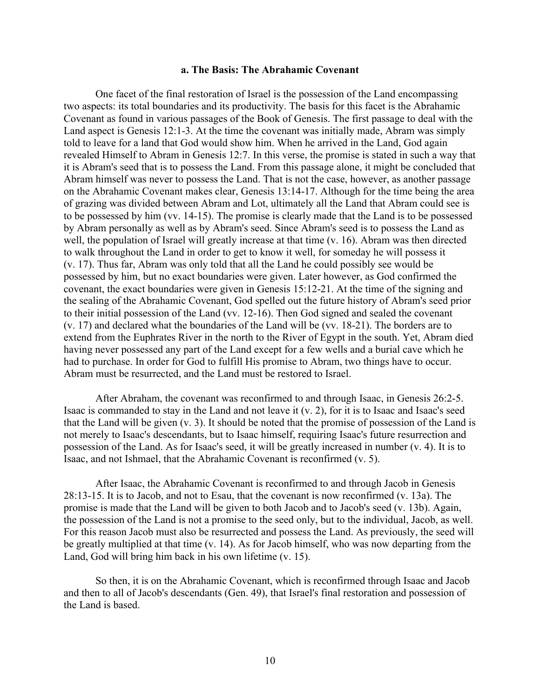#### a. The Basis: The Abrahamic Covenant

One facet of the final restoration of Israel is the possession of the Land encompassing two aspects: its total boundaries and its productivity. The basis for this facet is the Abrahamic Covenant as found in various passages of the Book of Genesis. The first passage to deal with the Land aspect is Genesis 12:1-3. At the time the covenant was initially made, Abram was simply told to leave for a land that God would show him. When he arrived in the Land, God again revealed Himself to Abram in Genesis 12:7. In this verse, the promise is stated in such a way that it is Abram's seed that is to possess the Land. From this passage alone, it might be concluded that Abram himself was never to possess the Land. That is not the case, however, as another passage on the Abrahamic Covenant makes clear, Genesis 13:14-17. Although for the time being the area of grazing was divided between Abram and Lot, ultimately all the Land that Abram could see is to be possessed by him (vv. 14-15). The promise is clearly made that the Land is to be possessed by Abram personally as well as by Abram's seed. Since Abram's seed is to possess the Land as well, the population of Israel will greatly increase at that time (v. 16). Abram was then directed to walk throughout the Land in order to get to know it well, for someday he will possess it (v. 17). Thus far, Abram was only told that all the Land he could possibly see would be possessed by him, but no exact boundaries were given. Later however, as God confirmed the covenant, the exact boundaries were given in Genesis 15:12-21. At the time of the signing and the sealing of the Abrahamic Covenant, God spelled out the future history of Abram's seed prior to their initial possession of the Land (vv. 12-16). Then God signed and sealed the covenant (v. 17) and declared what the boundaries of the Land will be (vv. 18-21). The borders are to extend from the Euphrates River in the north to the River of Egypt in the south. Yet, Abram died having never possessed any part of the Land except for a few wells and a burial cave which he had to purchase. In order for God to fulfill His promise to Abram, two things have to occur. Abram must be resurrected, and the Land must be restored to Israel.

After Abraham, the covenant was reconfirmed to and through Isaac, in Genesis 26:2-5. Isaac is commanded to stay in the Land and not leave it (v. 2), for it is to Isaac and Isaac's seed that the Land will be given (v. 3). It should be noted that the promise of possession of the Land is not merely to Isaac's descendants, but to Isaac himself, requiring Isaac's future resurrection and possession of the Land. As for Isaac's seed, it will be greatly increased in number (v. 4). It is to Isaac, and not Ishmael, that the Abrahamic Covenant is reconfirmed (v. 5).

After Isaac, the Abrahamic Covenant is reconfirmed to and through Jacob in Genesis 28:13-15. It is to Jacob, and not to Esau, that the covenant is now reconfirmed (v. 13a). The promise is made that the Land will be given to both Jacob and to Jacob's seed (v. 13b). Again, the possession of the Land is not a promise to the seed only, but to the individual, Jacob, as well. For this reason Jacob must also be resurrected and possess the Land. As previously, the seed will be greatly multiplied at that time (v. 14). As for Jacob himself, who was now departing from the Land, God will bring him back in his own lifetime (v. 15).

So then, it is on the Abrahamic Covenant, which is reconfirmed through Isaac and Jacob and then to all of Jacob's descendants (Gen. 49), that Israel's final restoration and possession of the Land is based.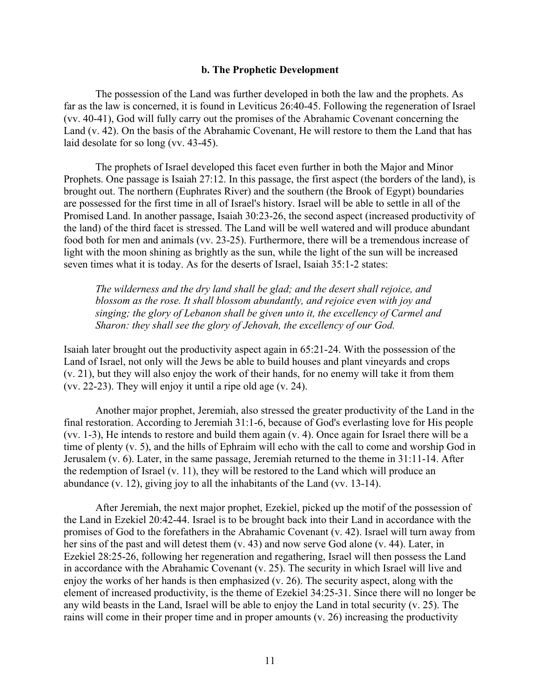#### b. The Prophetic Development

The possession of the Land was further developed in both the law and the prophets. As far as the law is concerned, it is found in Leviticus 26:40-45. Following the regeneration of Israel (vv. 40-41), God will fully carry out the promises of the Abrahamic Covenant concerning the Land (v. 42). On the basis of the Abrahamic Covenant, He will restore to them the Land that has laid desolate for so long (vv. 43-45).

The prophets of Israel developed this facet even further in both the Major and Minor Prophets. One passage is Isaiah 27:12. In this passage, the first aspect (the borders of the land), is brought out. The northern (Euphrates River) and the southern (the Brook of Egypt) boundaries are possessed for the first time in all of Israel's history. Israel will be able to settle in all of the Promised Land. In another passage, Isaiah 30:23-26, the second aspect (increased productivity of the land) of the third facet is stressed. The Land will be well watered and will produce abundant food both for men and animals (vv. 23-25). Furthermore, there will be a tremendous increase of light with the moon shining as brightly as the sun, while the light of the sun will be increased seven times what it is today. As for the deserts of Israel, Isaiah 35:1-2 states:

*The wilderness and the dry land shall be glad; and the desert shall rejoice, and blossom as the rose. It shall blossom abundantly, and rejoice even with joy and singing; the glory of Lebanon shall be given unto it, the excellency of Carmel and Sharon: they shall see the glory of Jehovah, the excellency of our God.*

Isaiah later brought out the productivity aspect again in 65:21-24. With the possession of the Land of Israel, not only will the Jews be able to build houses and plant vineyards and crops (v. 21), but they will also enjoy the work of their hands, for no enemy will take it from them (vv. 22-23). They will enjoy it until a ripe old age (v. 24).

Another major prophet, Jeremiah, also stressed the greater productivity of the Land in the final restoration. According to Jeremiah 31:1-6, because of God's everlasting love for His people (vv. 1-3), He intends to restore and build them again (v. 4). Once again for Israel there will be a time of plenty (v. 5), and the hills of Ephraim will echo with the call to come and worship God in Jerusalem (v. 6). Later, in the same passage, Jeremiah returned to the theme in 31:11-14. After the redemption of Israel (v. 11), they will be restored to the Land which will produce an abundance (v. 12), giving joy to all the inhabitants of the Land (vv. 13-14).

After Jeremiah, the next major prophet, Ezekiel, picked up the motif of the possession of the Land in Ezekiel 20:42-44. Israel is to be brought back into their Land in accordance with the promises of God to the forefathers in the Abrahamic Covenant (v. 42). Israel will turn away from her sins of the past and will detest them (v. 43) and now serve God alone (v. 44). Later, in Ezekiel 28:25-26, following her regeneration and regathering, Israel will then possess the Land in accordance with the Abrahamic Covenant (v. 25). The security in which Israel will live and enjoy the works of her hands is then emphasized (v. 26). The security aspect, along with the element of increased productivity, is the theme of Ezekiel 34:25-31. Since there will no longer be any wild beasts in the Land, Israel will be able to enjoy the Land in total security (v. 25). The rains will come in their proper time and in proper amounts (v. 26) increasing the productivity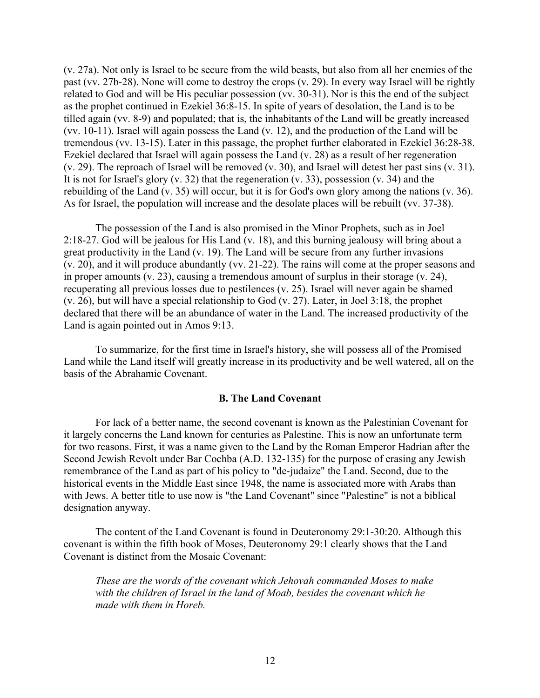(v. 27a). Not only is Israel to be secure from the wild beasts, but also from all her enemies of the past (vv. 27b-28). None will come to destroy the crops (v. 29). In every way Israel will be rightly related to God and will be His peculiar possession (vv. 30-31). Nor is this the end of the subject as the prophet continued in Ezekiel 36:8-15. In spite of years of desolation, the Land is to be tilled again (vv. 8-9) and populated; that is, the inhabitants of the Land will be greatly increased (vv. 10-11). Israel will again possess the Land (v. 12), and the production of the Land will be tremendous (vv. 13-15). Later in this passage, the prophet further elaborated in Ezekiel 36:28-38. Ezekiel declared that Israel will again possess the Land (v. 28) as a result of her regeneration (v. 29). The reproach of Israel will be removed (v. 30), and Israel will detest her past sins (v. 31). It is not for Israel's glory (v. 32) that the regeneration (v. 33), possession (v. 34) and the rebuilding of the Land (v. 35) will occur, but it is for God's own glory among the nations (v. 36). As for Israel, the population will increase and the desolate places will be rebuilt (vv. 37-38).

The possession of the Land is also promised in the Minor Prophets, such as in Joel 2:18-27. God will be jealous for His Land (v. 18), and this burning jealousy will bring about a great productivity in the Land (v. 19). The Land will be secure from any further invasions (v. 20), and it will produce abundantly (vv. 21-22). The rains will come at the proper seasons and in proper amounts (v. 23), causing a tremendous amount of surplus in their storage (v. 24), recuperating all previous losses due to pestilences (v. 25). Israel will never again be shamed (v. 26), but will have a special relationship to God (v. 27). Later, in Joel 3:18, the prophet declared that there will be an abundance of water in the Land. The increased productivity of the Land is again pointed out in Amos 9:13.

To summarize, for the first time in Israel's history, she will possess all of the Promised Land while the Land itself will greatly increase in its productivity and be well watered, all on the basis of the Abrahamic Covenant.

### B. The Land Covenant

For lack of a better name, the second covenant is known as the Palestinian Covenant for it largely concerns the Land known for centuries as Palestine. This is now an unfortunate term for two reasons. First, it was a name given to the Land by the Roman Emperor Hadrian after the Second Jewish Revolt under Bar Cochba (A.D. 132-135) for the purpose of erasing any Jewish remembrance of the Land as part of his policy to "de-judaize" the Land. Second, due to the historical events in the Middle East since 1948, the name is associated more with Arabs than with Jews. A better title to use now is "the Land Covenant" since "Palestine" is not a biblical designation anyway.

The content of the Land Covenant is found in Deuteronomy 29:1-30:20. Although this covenant is within the fifth book of Moses, Deuteronomy 29:1 clearly shows that the Land Covenant is distinct from the Mosaic Covenant:

*These are the words of the covenant which Jehovah commanded Moses to make with the children of Israel in the land of Moab, besides the covenant which he made with them in Horeb.*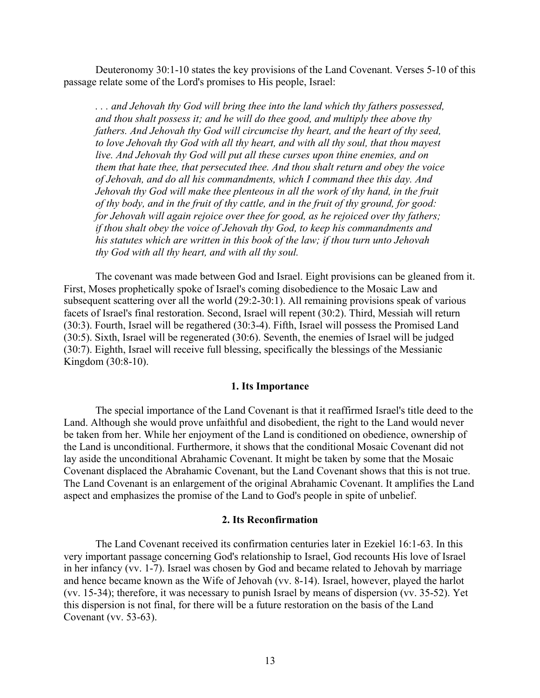Deuteronomy 30:1-10 states the key provisions of the Land Covenant. Verses 5-10 of this passage relate some of the Lord's promises to His people, Israel:

*. . . and Jehovah thy God will bring thee into the land which thy fathers possessed, and thou shalt possess it; and he will do thee good, and multiply thee above thy fathers. And Jehovah thy God will circumcise thy heart, and the heart of thy seed, to love Jehovah thy God with all thy heart, and with all thy soul, that thou mayest live. And Jehovah thy God will put all these curses upon thine enemies, and on them that hate thee, that persecuted thee. And thou shalt return and obey the voice of Jehovah, and do all his commandments, which I command thee this day. And Jehovah thy God will make thee plenteous in all the work of thy hand, in the fruit of thy body, and in the fruit of thy cattle, and in the fruit of thy ground, for good: for Jehovah will again rejoice over thee for good, as he rejoiced over thy fathers; if thou shalt obey the voice of Jehovah thy God, to keep his commandments and his statutes which are written in this book of the law; if thou turn unto Jehovah thy God with all thy heart, and with all thy soul.*

The covenant was made between God and Israel. Eight provisions can be gleaned from it. First, Moses prophetically spoke of Israel's coming disobedience to the Mosaic Law and subsequent scattering over all the world (29:2-30:1). All remaining provisions speak of various facets of Israel's final restoration. Second, Israel will repent (30:2). Third, Messiah will return (30:3). Fourth, Israel will be regathered (30:3-4). Fifth, Israel will possess the Promised Land (30:5). Sixth, Israel will be regenerated (30:6). Seventh, the enemies of Israel will be judged (30:7). Eighth, Israel will receive full blessing, specifically the blessings of the Messianic Kingdom (30:8-10).

#### 1. Its Importance

The special importance of the Land Covenant is that it reaffirmed Israel's title deed to the Land. Although she would prove unfaithful and disobedient, the right to the Land would never be taken from her. While her enjoyment of the Land is conditioned on obedience, ownership of the Land is unconditional. Furthermore, it shows that the conditional Mosaic Covenant did not lay aside the unconditional Abrahamic Covenant. It might be taken by some that the Mosaic Covenant displaced the Abrahamic Covenant, but the Land Covenant shows that this is not true. The Land Covenant is an enlargement of the original Abrahamic Covenant. It amplifies the Land aspect and emphasizes the promise of the Land to God's people in spite of unbelief.

#### 2. Its Reconfirmation

The Land Covenant received its confirmation centuries later in Ezekiel 16:1-63. In this very important passage concerning God's relationship to Israel, God recounts His love of Israel in her infancy (vv. 1-7). Israel was chosen by God and became related to Jehovah by marriage and hence became known as the Wife of Jehovah (vv. 8-14). Israel, however, played the harlot (vv. 15-34); therefore, it was necessary to punish Israel by means of dispersion (vv. 35-52). Yet this dispersion is not final, for there will be a future restoration on the basis of the Land Covenant (vv. 53-63).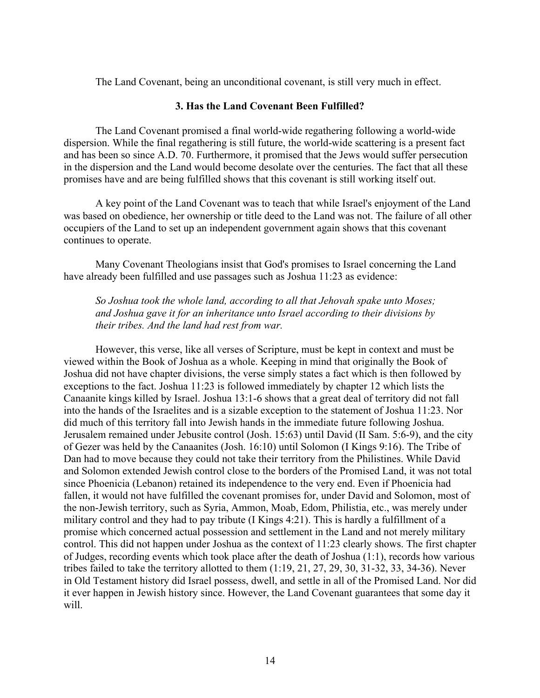The Land Covenant, being an unconditional covenant, is still very much in effect.

#### 3. Has the Land Covenant Been Fulfilled?

The Land Covenant promised a final world-wide regathering following a world-wide dispersion. While the final regathering is still future, the world-wide scattering is a present fact and has been so since A.D. 70. Furthermore, it promised that the Jews would suffer persecution in the dispersion and the Land would become desolate over the centuries. The fact that all these promises have and are being fulfilled shows that this covenant is still working itself out.

A key point of the Land Covenant was to teach that while Israel's enjoyment of the Land was based on obedience, her ownership or title deed to the Land was not. The failure of all other occupiers of the Land to set up an independent government again shows that this covenant continues to operate.

Many Covenant Theologians insist that God's promises to Israel concerning the Land have already been fulfilled and use passages such as Joshua 11:23 as evidence:

*So Joshua took the whole land, according to all that Jehovah spake unto Moses; and Joshua gave it for an inheritance unto Israel according to their divisions by their tribes. And the land had rest from war.*

However, this verse, like all verses of Scripture, must be kept in context and must be viewed within the Book of Joshua as a whole. Keeping in mind that originally the Book of Joshua did not have chapter divisions, the verse simply states a fact which is then followed by exceptions to the fact. Joshua 11:23 is followed immediately by chapter 12 which lists the Canaanite kings killed by Israel. Joshua 13:1-6 shows that a great deal of territory did not fall into the hands of the Israelites and is a sizable exception to the statement of Joshua 11:23. Nor did much of this territory fall into Jewish hands in the immediate future following Joshua. Jerusalem remained under Jebusite control (Josh. 15:63) until David (II Sam. 5:6-9), and the city of Gezer was held by the Canaanites (Josh. 16:10) until Solomon (I Kings 9:16). The Tribe of Dan had to move because they could not take their territory from the Philistines. While David and Solomon extended Jewish control close to the borders of the Promised Land, it was not total since Phoenicia (Lebanon) retained its independence to the very end. Even if Phoenicia had fallen, it would not have fulfilled the covenant promises for, under David and Solomon, most of the non-Jewish territory, such as Syria, Ammon, Moab, Edom, Philistia, etc., was merely under military control and they had to pay tribute (I Kings 4:21). This is hardly a fulfillment of a promise which concerned actual possession and settlement in the Land and not merely military control. This did not happen under Joshua as the context of 11:23 clearly shows. The first chapter of Judges, recording events which took place after the death of Joshua (1:1), records how various tribes failed to take the territory allotted to them (1:19, 21, 27, 29, 30, 31-32, 33, 34-36). Never in Old Testament history did Israel possess, dwell, and settle in all of the Promised Land. Nor did it ever happen in Jewish history since. However, the Land Covenant guarantees that some day it will.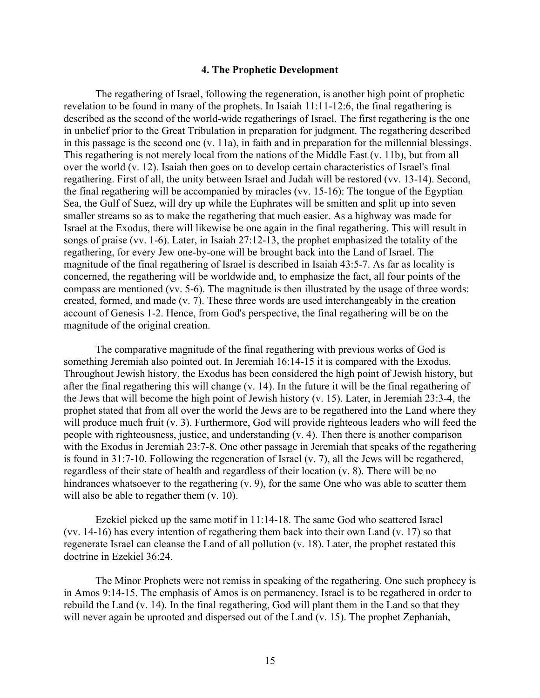#### 4. The Prophetic Development

The regathering of Israel, following the regeneration, is another high point of prophetic revelation to be found in many of the prophets. In Isaiah 11:11-12:6, the final regathering is described as the second of the world-wide regatherings of Israel. The first regathering is the one in unbelief prior to the Great Tribulation in preparation for judgment. The regathering described in this passage is the second one (v. 11a), in faith and in preparation for the millennial blessings. This regathering is not merely local from the nations of the Middle East (v. 11b), but from all over the world (v. 12). Isaiah then goes on to develop certain characteristics of Israel's final regathering. First of all, the unity between Israel and Judah will be restored (vv. 13-14). Second, the final regathering will be accompanied by miracles (vv. 15-16): The tongue of the Egyptian Sea, the Gulf of Suez, will dry up while the Euphrates will be smitten and split up into seven smaller streams so as to make the regathering that much easier. As a highway was made for Israel at the Exodus, there will likewise be one again in the final regathering. This will result in songs of praise (vv. 1-6). Later, in Isaiah 27:12-13, the prophet emphasized the totality of the regathering, for every Jew one-by-one will be brought back into the Land of Israel. The magnitude of the final regathering of Israel is described in Isaiah 43:5-7. As far as locality is concerned, the regathering will be worldwide and, to emphasize the fact, all four points of the compass are mentioned (vv. 5-6). The magnitude is then illustrated by the usage of three words: created, formed, and made (v. 7). These three words are used interchangeably in the creation account of Genesis 1-2. Hence, from God's perspective, the final regathering will be on the magnitude of the original creation.

The comparative magnitude of the final regathering with previous works of God is something Jeremiah also pointed out. In Jeremiah 16:14-15 it is compared with the Exodus. Throughout Jewish history, the Exodus has been considered the high point of Jewish history, but after the final regathering this will change (v. 14). In the future it will be the final regathering of the Jews that will become the high point of Jewish history (v. 15). Later, in Jeremiah 23:3-4, the prophet stated that from all over the world the Jews are to be regathered into the Land where they will produce much fruit (v. 3). Furthermore, God will provide righteous leaders who will feed the people with righteousness, justice, and understanding (v. 4). Then there is another comparison with the Exodus in Jeremiah 23:7-8. One other passage in Jeremiah that speaks of the regathering is found in 31:7-10. Following the regeneration of Israel (v. 7), all the Jews will be regathered, regardless of their state of health and regardless of their location (v. 8). There will be no hindrances whatsoever to the regathering (v. 9), for the same One who was able to scatter them will also be able to regather them  $(v. 10)$ .

Ezekiel picked up the same motif in 11:14-18. The same God who scattered Israel (vv. 14-16) has every intention of regathering them back into their own Land (v. 17) so that regenerate Israel can cleanse the Land of all pollution (v. 18). Later, the prophet restated this doctrine in Ezekiel 36:24.

The Minor Prophets were not remiss in speaking of the regathering. One such prophecy is in Amos 9:14-15. The emphasis of Amos is on permanency. Israel is to be regathered in order to rebuild the Land (v. 14). In the final regathering, God will plant them in the Land so that they will never again be uprooted and dispersed out of the Land (v. 15). The prophet Zephaniah,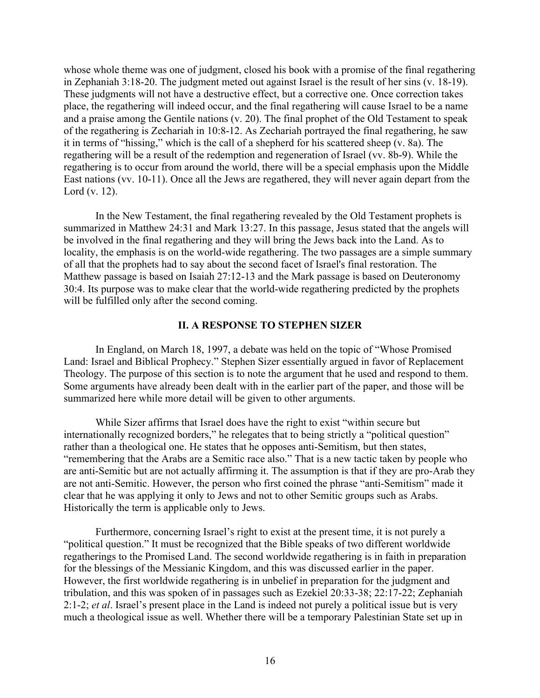whose whole theme was one of judgment, closed his book with a promise of the final regathering in Zephaniah 3:18-20. The judgment meted out against Israel is the result of her sins (v. 18-19). These judgments will not have a destructive effect, but a corrective one. Once correction takes place, the regathering will indeed occur, and the final regathering will cause Israel to be a name and a praise among the Gentile nations (v. 20). The final prophet of the Old Testament to speak of the regathering is Zechariah in 10:8-12. As Zechariah portrayed the final regathering, he saw it in terms of "hissing," which is the call of a shepherd for his scattered sheep (v. 8a). The regathering will be a result of the redemption and regeneration of Israel (vv. 8b-9). While the regathering is to occur from around the world, there will be a special emphasis upon the Middle East nations (vv. 10-11). Once all the Jews are regathered, they will never again depart from the Lord (v. 12).

In the New Testament, the final regathering revealed by the Old Testament prophets is summarized in Matthew 24:31 and Mark 13:27. In this passage, Jesus stated that the angels will be involved in the final regathering and they will bring the Jews back into the Land. As to locality, the emphasis is on the world-wide regathering. The two passages are a simple summary of all that the prophets had to say about the second facet of Israel's final restoration. The Matthew passage is based on Isaiah 27:12-13 and the Mark passage is based on Deuteronomy 30:4. Its purpose was to make clear that the world-wide regathering predicted by the prophets will be fulfilled only after the second coming.

# II. A RESPONSE TO STEPHEN SIZER

In England, on March 18, 1997, a debate was held on the topic of "Whose Promised Land: Israel and Biblical Prophecy." Stephen Sizer essentially argued in favor of Replacement Theology. The purpose of this section is to note the argument that he used and respond to them. Some arguments have already been dealt with in the earlier part of the paper, and those will be summarized here while more detail will be given to other arguments.

While Sizer affirms that Israel does have the right to exist "within secure but internationally recognized borders," he relegates that to being strictly a "political question" rather than a theological one. He states that he opposes anti-Semitism, but then states, "remembering that the Arabs are a Semitic race also." That is a new tactic taken by people who are anti-Semitic but are not actually affirming it. The assumption is that if they are pro-Arab they are not anti-Semitic. However, the person who first coined the phrase "anti-Semitism" made it clear that he was applying it only to Jews and not to other Semitic groups such as Arabs. Historically the term is applicable only to Jews.

Furthermore, concerning Israel's right to exist at the present time, it is not purely a "political question." It must be recognized that the Bible speaks of two different worldwide regatherings to the Promised Land. The second worldwide regathering is in faith in preparation for the blessings of the Messianic Kingdom, and this was discussed earlier in the paper. However, the first worldwide regathering is in unbelief in preparation for the judgment and tribulation, and this was spoken of in passages such as Ezekiel 20:33-38; 22:17-22; Zephaniah 2:1-2; *et al*. Israel's present place in the Land is indeed not purely a political issue but is very much a theological issue as well. Whether there will be a temporary Palestinian State set up in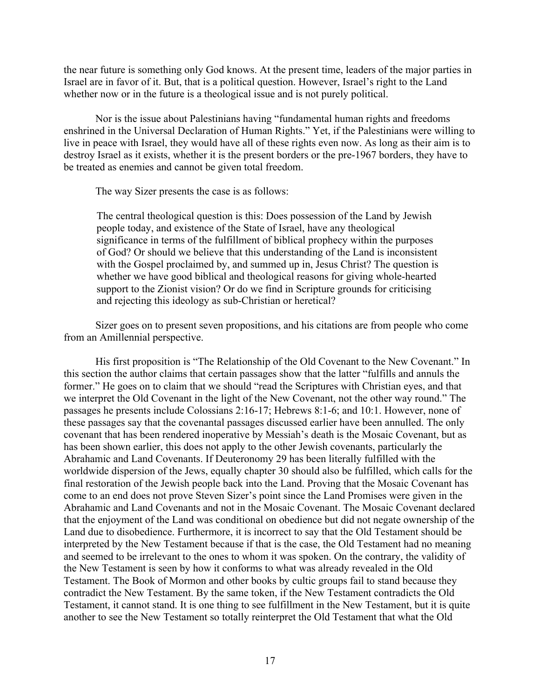the near future is something only God knows. At the present time, leaders of the major parties in Israel are in favor of it. But, that is a political question. However, Israel's right to the Land whether now or in the future is a theological issue and is not purely political.

Nor is the issue about Palestinians having "fundamental human rights and freedoms enshrined in the Universal Declaration of Human Rights." Yet, if the Palestinians were willing to live in peace with Israel, they would have all of these rights even now. As long as their aim is to destroy Israel as it exists, whether it is the present borders or the pre-1967 borders, they have to be treated as enemies and cannot be given total freedom.

The way Sizer presents the case is as follows:

The central theological question is this: Does possession of the Land by Jewish people today, and existence of the State of Israel, have any theological significance in terms of the fulfillment of biblical prophecy within the purposes of God? Or should we believe that this understanding of the Land is inconsistent with the Gospel proclaimed by, and summed up in, Jesus Christ? The question is whether we have good biblical and theological reasons for giving whole-hearted support to the Zionist vision? Or do we find in Scripture grounds for criticising and rejecting this ideology as sub-Christian or heretical?

Sizer goes on to present seven propositions, and his citations are from people who come from an Amillennial perspective.

His first proposition is "The Relationship of the Old Covenant to the New Covenant." In this section the author claims that certain passages show that the latter "fulfills and annuls the former." He goes on to claim that we should "read the Scriptures with Christian eyes, and that we interpret the Old Covenant in the light of the New Covenant, not the other way round." The passages he presents include Colossians 2:16-17; Hebrews 8:1-6; and 10:1. However, none of these passages say that the covenantal passages discussed earlier have been annulled. The only covenant that has been rendered inoperative by Messiah's death is the Mosaic Covenant, but as has been shown earlier, this does not apply to the other Jewish covenants, particularly the Abrahamic and Land Covenants. If Deuteronomy 29 has been literally fulfilled with the worldwide dispersion of the Jews, equally chapter 30 should also be fulfilled, which calls for the final restoration of the Jewish people back into the Land. Proving that the Mosaic Covenant has come to an end does not prove Steven Sizer's point since the Land Promises were given in the Abrahamic and Land Covenants and not in the Mosaic Covenant. The Mosaic Covenant declared that the enjoyment of the Land was conditional on obedience but did not negate ownership of the Land due to disobedience. Furthermore, it is incorrect to say that the Old Testament should be interpreted by the New Testament because if that is the case, the Old Testament had no meaning and seemed to be irrelevant to the ones to whom it was spoken. On the contrary, the validity of the New Testament is seen by how it conforms to what was already revealed in the Old Testament. The Book of Mormon and other books by cultic groups fail to stand because they contradict the New Testament. By the same token, if the New Testament contradicts the Old Testament, it cannot stand. It is one thing to see fulfillment in the New Testament, but it is quite another to see the New Testament so totally reinterpret the Old Testament that what the Old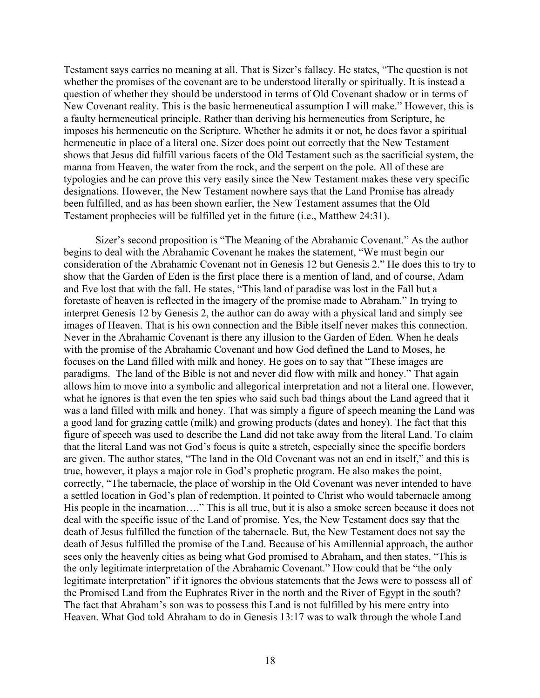Testament says carries no meaning at all. That is Sizer's fallacy. He states, "The question is not whether the promises of the covenant are to be understood literally or spiritually. It is instead a question of whether they should be understood in terms of Old Covenant shadow or in terms of New Covenant reality. This is the basic hermeneutical assumption I will make." However, this is a faulty hermeneutical principle. Rather than deriving his hermeneutics from Scripture, he imposes his hermeneutic on the Scripture. Whether he admits it or not, he does favor a spiritual hermeneutic in place of a literal one. Sizer does point out correctly that the New Testament shows that Jesus did fulfill various facets of the Old Testament such as the sacrificial system, the manna from Heaven, the water from the rock, and the serpent on the pole. All of these are typologies and he can prove this very easily since the New Testament makes these very specific designations. However, the New Testament nowhere says that the Land Promise has already been fulfilled, and as has been shown earlier, the New Testament assumes that the Old Testament prophecies will be fulfilled yet in the future (i.e., Matthew 24:31).

Sizer's second proposition is "The Meaning of the Abrahamic Covenant." As the author begins to deal with the Abrahamic Covenant he makes the statement, "We must begin our consideration of the Abrahamic Covenant not in Genesis 12 but Genesis 2." He does this to try to show that the Garden of Eden is the first place there is a mention of land, and of course, Adam and Eve lost that with the fall. He states, "This land of paradise was lost in the Fall but a foretaste of heaven is reflected in the imagery of the promise made to Abraham." In trying to interpret Genesis 12 by Genesis 2, the author can do away with a physical land and simply see images of Heaven. That is his own connection and the Bible itself never makes this connection. Never in the Abrahamic Covenant is there any illusion to the Garden of Eden. When he deals with the promise of the Abrahamic Covenant and how God defined the Land to Moses, he focuses on the Land filled with milk and honey. He goes on to say that "These images are paradigms. The land of the Bible is not and never did flow with milk and honey." That again allows him to move into a symbolic and allegorical interpretation and not a literal one. However, what he ignores is that even the ten spies who said such bad things about the Land agreed that it was a land filled with milk and honey. That was simply a figure of speech meaning the Land was a good land for grazing cattle (milk) and growing products (dates and honey). The fact that this figure of speech was used to describe the Land did not take away from the literal Land. To claim that the literal Land was not God's focus is quite a stretch, especially since the specific borders are given. The author states, "The land in the Old Covenant was not an end in itself," and this is true, however, it plays a major role in God's prophetic program. He also makes the point, correctly, "The tabernacle, the place of worship in the Old Covenant was never intended to have a settled location in God's plan of redemption. It pointed to Christ who would tabernacle among His people in the incarnation…." This is all true, but it is also a smoke screen because it does not deal with the specific issue of the Land of promise. Yes, the New Testament does say that the death of Jesus fulfilled the function of the tabernacle. But, the New Testament does not say the death of Jesus fulfilled the promise of the Land. Because of his Amillennial approach, the author sees only the heavenly cities as being what God promised to Abraham, and then states, "This is the only legitimate interpretation of the Abrahamic Covenant." How could that be "the only legitimate interpretation" if it ignores the obvious statements that the Jews were to possess all of the Promised Land from the Euphrates River in the north and the River of Egypt in the south? The fact that Abraham's son was to possess this Land is not fulfilled by his mere entry into Heaven. What God told Abraham to do in Genesis 13:17 was to walk through the whole Land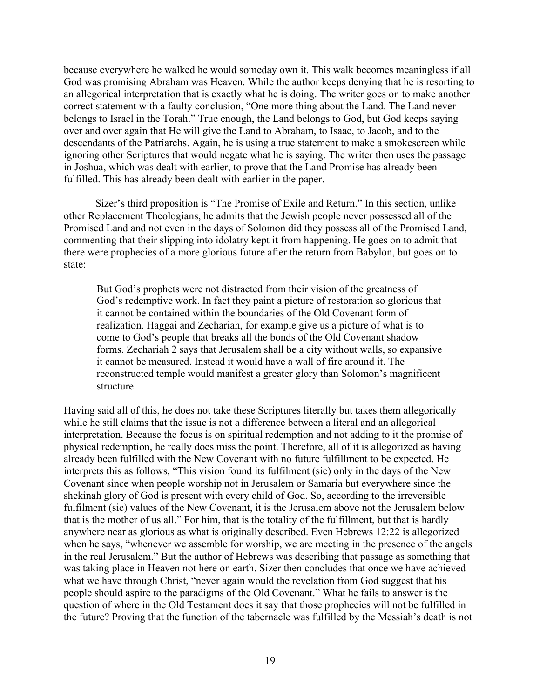because everywhere he walked he would someday own it. This walk becomes meaningless if all God was promising Abraham was Heaven. While the author keeps denying that he is resorting to an allegorical interpretation that is exactly what he is doing. The writer goes on to make another correct statement with a faulty conclusion, "One more thing about the Land. The Land never belongs to Israel in the Torah." True enough, the Land belongs to God, but God keeps saying over and over again that He will give the Land to Abraham, to Isaac, to Jacob, and to the descendants of the Patriarchs. Again, he is using a true statement to make a smokescreen while ignoring other Scriptures that would negate what he is saying. The writer then uses the passage in Joshua, which was dealt with earlier, to prove that the Land Promise has already been fulfilled. This has already been dealt with earlier in the paper.

Sizer's third proposition is "The Promise of Exile and Return." In this section, unlike other Replacement Theologians, he admits that the Jewish people never possessed all of the Promised Land and not even in the days of Solomon did they possess all of the Promised Land, commenting that their slipping into idolatry kept it from happening. He goes on to admit that there were prophecies of a more glorious future after the return from Babylon, but goes on to state:

But God's prophets were not distracted from their vision of the greatness of God's redemptive work. In fact they paint a picture of restoration so glorious that it cannot be contained within the boundaries of the Old Covenant form of realization. Haggai and Zechariah, for example give us a picture of what is to come to God's people that breaks all the bonds of the Old Covenant shadow forms. Zechariah 2 says that Jerusalem shall be a city without walls, so expansive it cannot be measured. Instead it would have a wall of fire around it. The reconstructed temple would manifest a greater glory than Solomon's magnificent structure.

Having said all of this, he does not take these Scriptures literally but takes them allegorically while he still claims that the issue is not a difference between a literal and an allegorical interpretation. Because the focus is on spiritual redemption and not adding to it the promise of physical redemption, he really does miss the point. Therefore, all of it is allegorized as having already been fulfilled with the New Covenant with no future fulfillment to be expected. He interprets this as follows, "This vision found its fulfilment (sic) only in the days of the New Covenant since when people worship not in Jerusalem or Samaria but everywhere since the shekinah glory of God is present with every child of God. So, according to the irreversible fulfilment (sic) values of the New Covenant, it is the Jerusalem above not the Jerusalem below that is the mother of us all." For him, that is the totality of the fulfillment, but that is hardly anywhere near as glorious as what is originally described. Even Hebrews 12:22 is allegorized when he says, "whenever we assemble for worship, we are meeting in the presence of the angels in the real Jerusalem." But the author of Hebrews was describing that passage as something that was taking place in Heaven not here on earth. Sizer then concludes that once we have achieved what we have through Christ, "never again would the revelation from God suggest that his people should aspire to the paradigms of the Old Covenant." What he fails to answer is the question of where in the Old Testament does it say that those prophecies will not be fulfilled in the future? Proving that the function of the tabernacle was fulfilled by the Messiah's death is not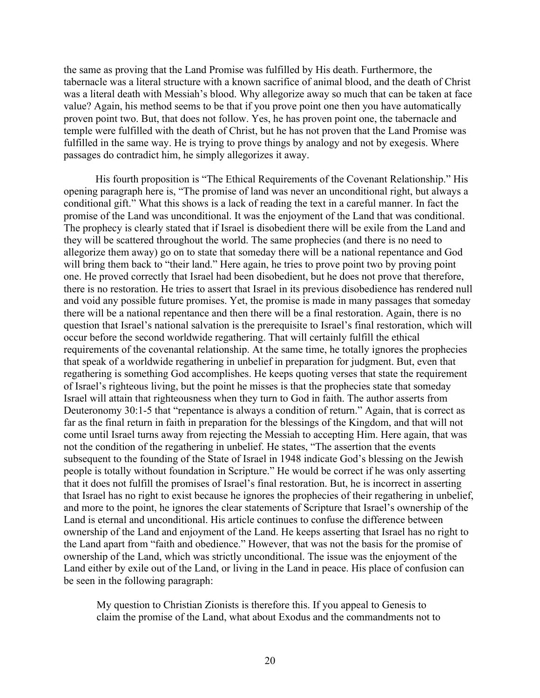the same as proving that the Land Promise was fulfilled by His death. Furthermore, the tabernacle was a literal structure with a known sacrifice of animal blood, and the death of Christ was a literal death with Messiah's blood. Why allegorize away so much that can be taken at face value? Again, his method seems to be that if you prove point one then you have automatically proven point two. But, that does not follow. Yes, he has proven point one, the tabernacle and temple were fulfilled with the death of Christ, but he has not proven that the Land Promise was fulfilled in the same way. He is trying to prove things by analogy and not by exegesis. Where passages do contradict him, he simply allegorizes it away.

His fourth proposition is "The Ethical Requirements of the Covenant Relationship." His opening paragraph here is, "The promise of land was never an unconditional right, but always a conditional gift." What this shows is a lack of reading the text in a careful manner. In fact the promise of the Land was unconditional. It was the enjoyment of the Land that was conditional. The prophecy is clearly stated that if Israel is disobedient there will be exile from the Land and they will be scattered throughout the world. The same prophecies (and there is no need to allegorize them away) go on to state that someday there will be a national repentance and God will bring them back to "their land." Here again, he tries to prove point two by proving point one. He proved correctly that Israel had been disobedient, but he does not prove that therefore, there is no restoration. He tries to assert that Israel in its previous disobedience has rendered null and void any possible future promises. Yet, the promise is made in many passages that someday there will be a national repentance and then there will be a final restoration. Again, there is no question that Israel's national salvation is the prerequisite to Israel's final restoration, which will occur before the second worldwide regathering. That will certainly fulfill the ethical requirements of the covenantal relationship. At the same time, he totally ignores the prophecies that speak of a worldwide regathering in unbelief in preparation for judgment. But, even that regathering is something God accomplishes. He keeps quoting verses that state the requirement of Israel's righteous living, but the point he misses is that the prophecies state that someday Israel will attain that righteousness when they turn to God in faith. The author asserts from Deuteronomy 30:1-5 that "repentance is always a condition of return." Again, that is correct as far as the final return in faith in preparation for the blessings of the Kingdom, and that will not come until Israel turns away from rejecting the Messiah to accepting Him. Here again, that was not the condition of the regathering in unbelief. He states, "The assertion that the events subsequent to the founding of the State of Israel in 1948 indicate God's blessing on the Jewish people is totally without foundation in Scripture." He would be correct if he was only asserting that it does not fulfill the promises of Israel's final restoration. But, he is incorrect in asserting that Israel has no right to exist because he ignores the prophecies of their regathering in unbelief, and more to the point, he ignores the clear statements of Scripture that Israel's ownership of the Land is eternal and unconditional. His article continues to confuse the difference between ownership of the Land and enjoyment of the Land. He keeps asserting that Israel has no right to the Land apart from "faith and obedience." However, that was not the basis for the promise of ownership of the Land, which was strictly unconditional. The issue was the enjoyment of the Land either by exile out of the Land, or living in the Land in peace. His place of confusion can be seen in the following paragraph:

My question to Christian Zionists is therefore this. If you appeal to Genesis to claim the promise of the Land, what about Exodus and the commandments not to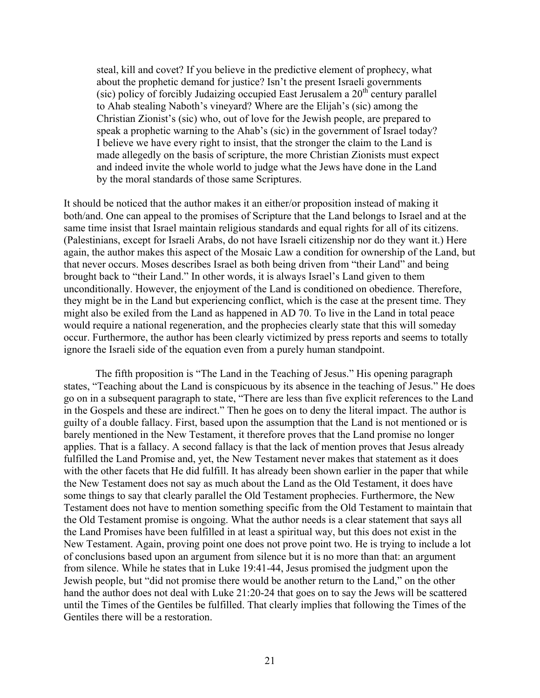steal, kill and covet? If you believe in the predictive element of prophecy, what about the prophetic demand for justice? Isn't the present Israeli governments (sic) policy of forcibly Judaizing occupied East Jerusalem a  $20<sup>th</sup>$  century parallel to Ahab stealing Naboth's vineyard? Where are the Elijah's (sic) among the Christian Zionist's (sic) who, out of love for the Jewish people, are prepared to speak a prophetic warning to the Ahab's (sic) in the government of Israel today? I believe we have every right to insist, that the stronger the claim to the Land is made allegedly on the basis of scripture, the more Christian Zionists must expect and indeed invite the whole world to judge what the Jews have done in the Land by the moral standards of those same Scriptures.

It should be noticed that the author makes it an either/or proposition instead of making it both/and. One can appeal to the promises of Scripture that the Land belongs to Israel and at the same time insist that Israel maintain religious standards and equal rights for all of its citizens. (Palestinians, except for Israeli Arabs, do not have Israeli citizenship nor do they want it.) Here again, the author makes this aspect of the Mosaic Law a condition for ownership of the Land, but that never occurs. Moses describes Israel as both being driven from "their Land" and being brought back to "their Land." In other words, it is always Israel's Land given to them unconditionally. However, the enjoyment of the Land is conditioned on obedience. Therefore, they might be in the Land but experiencing conflict, which is the case at the present time. They might also be exiled from the Land as happened in AD 70. To live in the Land in total peace would require a national regeneration, and the prophecies clearly state that this will someday occur. Furthermore, the author has been clearly victimized by press reports and seems to totally ignore the Israeli side of the equation even from a purely human standpoint.

The fifth proposition is "The Land in the Teaching of Jesus." His opening paragraph states, "Teaching about the Land is conspicuous by its absence in the teaching of Jesus." He does go on in a subsequent paragraph to state, "There are less than five explicit references to the Land in the Gospels and these are indirect." Then he goes on to deny the literal impact. The author is guilty of a double fallacy. First, based upon the assumption that the Land is not mentioned or is barely mentioned in the New Testament, it therefore proves that the Land promise no longer applies. That is a fallacy. A second fallacy is that the lack of mention proves that Jesus already fulfilled the Land Promise and, yet, the New Testament never makes that statement as it does with the other facets that He did fulfill. It has already been shown earlier in the paper that while the New Testament does not say as much about the Land as the Old Testament, it does have some things to say that clearly parallel the Old Testament prophecies. Furthermore, the New Testament does not have to mention something specific from the Old Testament to maintain that the Old Testament promise is ongoing. What the author needs is a clear statement that says all the Land Promises have been fulfilled in at least a spiritual way, but this does not exist in the New Testament. Again, proving point one does not prove point two. He is trying to include a lot of conclusions based upon an argument from silence but it is no more than that: an argument from silence. While he states that in Luke 19:41-44, Jesus promised the judgment upon the Jewish people, but "did not promise there would be another return to the Land," on the other hand the author does not deal with Luke 21:20-24 that goes on to say the Jews will be scattered until the Times of the Gentiles be fulfilled. That clearly implies that following the Times of the Gentiles there will be a restoration.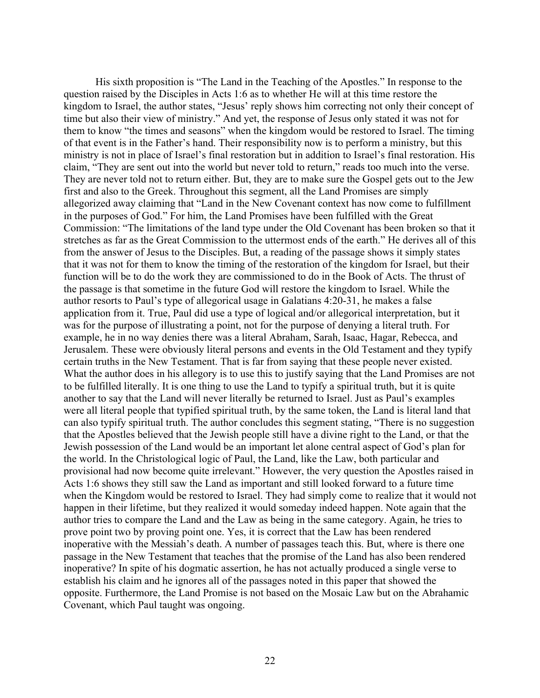His sixth proposition is "The Land in the Teaching of the Apostles." In response to the question raised by the Disciples in Acts 1:6 as to whether He will at this time restore the kingdom to Israel, the author states, "Jesus' reply shows him correcting not only their concept of time but also their view of ministry." And yet, the response of Jesus only stated it was not for them to know "the times and seasons" when the kingdom would be restored to Israel. The timing of that event is in the Father's hand. Their responsibility now is to perform a ministry, but this ministry is not in place of Israel's final restoration but in addition to Israel's final restoration. His claim, "They are sent out into the world but never told to return," reads too much into the verse. They are never told not to return either. But, they are to make sure the Gospel gets out to the Jew first and also to the Greek. Throughout this segment, all the Land Promises are simply allegorized away claiming that "Land in the New Covenant context has now come to fulfillment in the purposes of God." For him, the Land Promises have been fulfilled with the Great Commission: "The limitations of the land type under the Old Covenant has been broken so that it stretches as far as the Great Commission to the uttermost ends of the earth." He derives all of this from the answer of Jesus to the Disciples. But, a reading of the passage shows it simply states that it was not for them to know the timing of the restoration of the kingdom for Israel, but their function will be to do the work they are commissioned to do in the Book of Acts. The thrust of the passage is that sometime in the future God will restore the kingdom to Israel. While the author resorts to Paul's type of allegorical usage in Galatians 4:20-31, he makes a false application from it. True, Paul did use a type of logical and/or allegorical interpretation, but it was for the purpose of illustrating a point, not for the purpose of denying a literal truth. For example, he in no way denies there was a literal Abraham, Sarah, Isaac, Hagar, Rebecca, and Jerusalem. These were obviously literal persons and events in the Old Testament and they typify certain truths in the New Testament. That is far from saying that these people never existed. What the author does in his allegory is to use this to justify saying that the Land Promises are not to be fulfilled literally. It is one thing to use the Land to typify a spiritual truth, but it is quite another to say that the Land will never literally be returned to Israel. Just as Paul's examples were all literal people that typified spiritual truth, by the same token, the Land is literal land that can also typify spiritual truth. The author concludes this segment stating, "There is no suggestion that the Apostles believed that the Jewish people still have a divine right to the Land, or that the Jewish possession of the Land would be an important let alone central aspect of God's plan for the world. In the Christological logic of Paul, the Land, like the Law, both particular and provisional had now become quite irrelevant." However, the very question the Apostles raised in Acts 1:6 shows they still saw the Land as important and still looked forward to a future time when the Kingdom would be restored to Israel. They had simply come to realize that it would not happen in their lifetime, but they realized it would someday indeed happen. Note again that the author tries to compare the Land and the Law as being in the same category. Again, he tries to prove point two by proving point one. Yes, it is correct that the Law has been rendered inoperative with the Messiah's death. A number of passages teach this. But, where is there one passage in the New Testament that teaches that the promise of the Land has also been rendered inoperative? In spite of his dogmatic assertion, he has not actually produced a single verse to establish his claim and he ignores all of the passages noted in this paper that showed the opposite. Furthermore, the Land Promise is not based on the Mosaic Law but on the Abrahamic Covenant, which Paul taught was ongoing.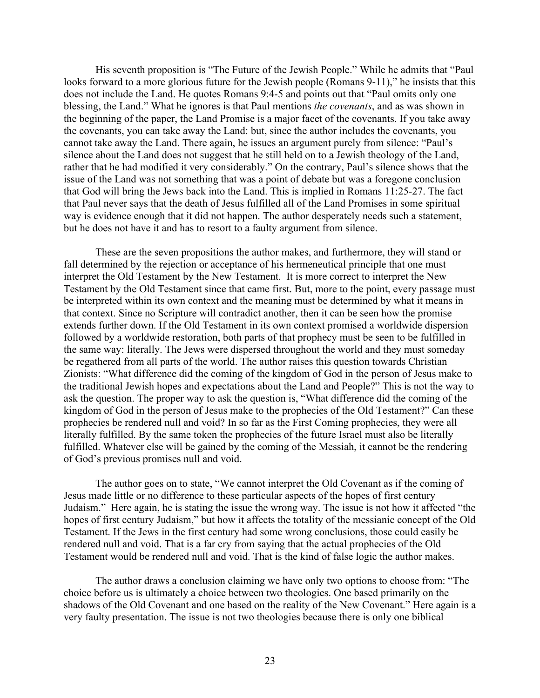His seventh proposition is "The Future of the Jewish People." While he admits that "Paul looks forward to a more glorious future for the Jewish people (Romans 9-11)," he insists that this does not include the Land. He quotes Romans 9:4-5 and points out that "Paul omits only one blessing, the Land." What he ignores is that Paul mentions *the covenants*, and as was shown in the beginning of the paper, the Land Promise is a major facet of the covenants. If you take away the covenants, you can take away the Land: but, since the author includes the covenants, you cannot take away the Land. There again, he issues an argument purely from silence: "Paul's silence about the Land does not suggest that he still held on to a Jewish theology of the Land, rather that he had modified it very considerably." On the contrary, Paul's silence shows that the issue of the Land was not something that was a point of debate but was a foregone conclusion that God will bring the Jews back into the Land. This is implied in Romans 11:25-27. The fact that Paul never says that the death of Jesus fulfilled all of the Land Promises in some spiritual way is evidence enough that it did not happen. The author desperately needs such a statement, but he does not have it and has to resort to a faulty argument from silence.

These are the seven propositions the author makes, and furthermore, they will stand or fall determined by the rejection or acceptance of his hermeneutical principle that one must interpret the Old Testament by the New Testament. It is more correct to interpret the New Testament by the Old Testament since that came first. But, more to the point, every passage must be interpreted within its own context and the meaning must be determined by what it means in that context. Since no Scripture will contradict another, then it can be seen how the promise extends further down. If the Old Testament in its own context promised a worldwide dispersion followed by a worldwide restoration, both parts of that prophecy must be seen to be fulfilled in the same way: literally. The Jews were dispersed throughout the world and they must someday be regathered from all parts of the world. The author raises this question towards Christian Zionists: "What difference did the coming of the kingdom of God in the person of Jesus make to the traditional Jewish hopes and expectations about the Land and People?" This is not the way to ask the question. The proper way to ask the question is, "What difference did the coming of the kingdom of God in the person of Jesus make to the prophecies of the Old Testament?" Can these prophecies be rendered null and void? In so far as the First Coming prophecies, they were all literally fulfilled. By the same token the prophecies of the future Israel must also be literally fulfilled. Whatever else will be gained by the coming of the Messiah, it cannot be the rendering of God's previous promises null and void.

The author goes on to state, "We cannot interpret the Old Covenant as if the coming of Jesus made little or no difference to these particular aspects of the hopes of first century Judaism." Here again, he is stating the issue the wrong way. The issue is not how it affected "the hopes of first century Judaism," but how it affects the totality of the messianic concept of the Old Testament. If the Jews in the first century had some wrong conclusions, those could easily be rendered null and void. That is a far cry from saying that the actual prophecies of the Old Testament would be rendered null and void. That is the kind of false logic the author makes.

The author draws a conclusion claiming we have only two options to choose from: "The choice before us is ultimately a choice between two theologies. One based primarily on the shadows of the Old Covenant and one based on the reality of the New Covenant." Here again is a very faulty presentation. The issue is not two theologies because there is only one biblical